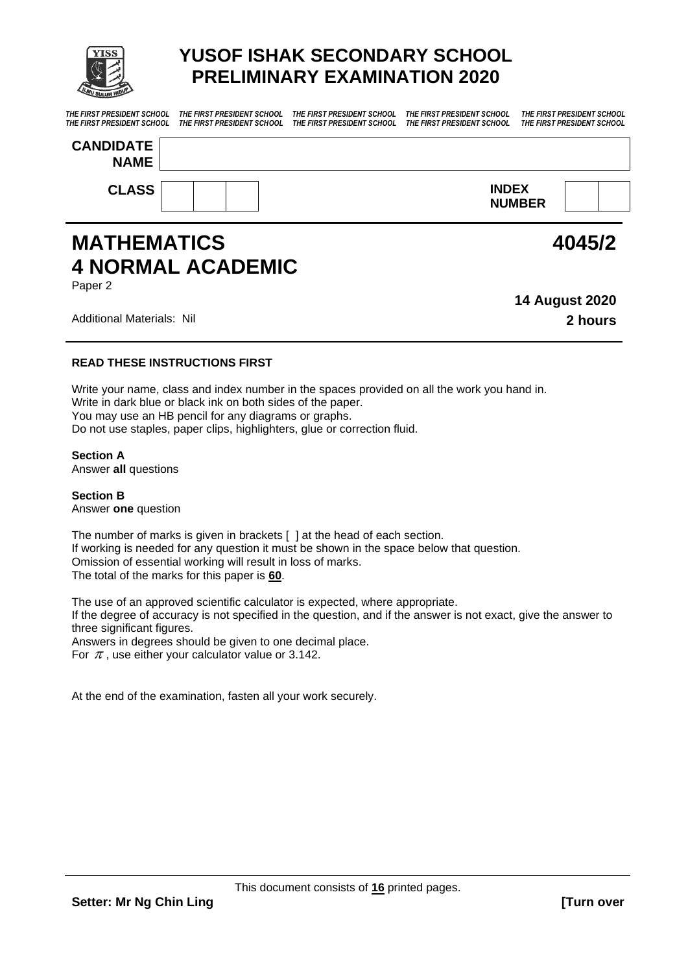

# **YUSOF ISHAK SECONDARY SCHOOL PRELIMINARY EXAMINATION 2020**

*THE FIRST PRESIDENT SCHOOL THE FIRST PRESIDENT SCHOOL THE FIRST PRESIDENT SCHOOL THE FIRST PRESIDENT SCHOOL THE FIRST PRESIDENT SCHOOL THE FIRST PRESIDENT SCHOOL THE FIRST PRESIDENT SCHOOL THE FIRST PRESIDENT SCHOOL THE FIRST PRESIDENT SCHOOL THE FIRST PRESIDENT SCHOOL* 

| <b>CANDIDATE</b><br><b>NAME</b> |                               |  |
|---------------------------------|-------------------------------|--|
| <b>CLASS</b>                    | <b>INDEX</b><br><b>NUMBER</b> |  |

# **MATHEMATICS 4 NORMAL ACADEMIC**

Paper 2

Additional Materials: Nil **2 hours**

**14 August 2020**

**4045/2**

#### **READ THESE INSTRUCTIONS FIRST**

Write your name, class and index number in the spaces provided on all the work you hand in. Write in dark blue or black ink on both sides of the paper. You may use an HB pencil for any diagrams or graphs. Do not use staples, paper clips, highlighters, glue or correction fluid.

#### **Section A**

Answer **all** questions

**Section B** Answer **one** question

The number of marks is given in brackets [ ] at the head of each section. If working is needed for any question it must be shown in the space below that question. Omission of essential working will result in loss of marks. The total of the marks for this paper is **60**.

The use of an approved scientific calculator is expected, where appropriate.

If the degree of accuracy is not specified in the question, and if the answer is not exact, give the answer to three significant figures.

Answers in degrees should be given to one decimal place.

For  $\pi$  , use either your calculator value or 3.142.

At the end of the examination, fasten all your work securely.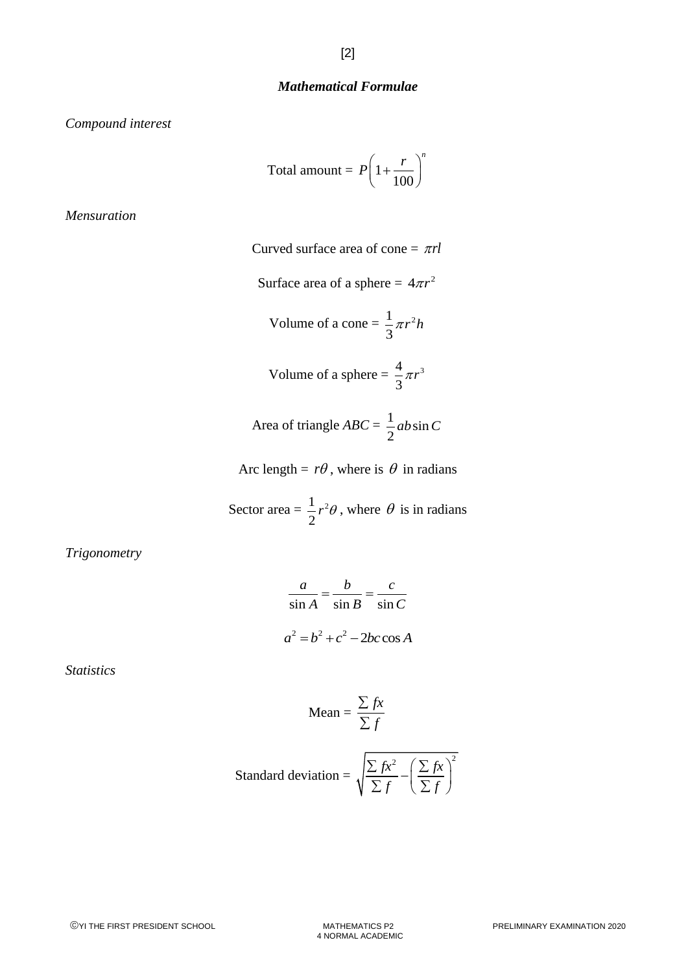#### *Mathematical Formulae*

*Compound interest*

Total amount = 
$$
P\left(1 + \frac{r}{100}\right)^n
$$

*Mensuration*

Curved surface area of cone = 
$$
\pi rl
$$
  
\nSurface area of a sphere =  $4\pi r^2$   
\nVolume of a cone =  $\frac{1}{3}\pi r^2 h$   
\nVolume of a sphere =  $\frac{4}{3}\pi r^3$   
\nArea of triangle ABC =  $\frac{1}{2}ab\sin C$   
\nArc length =  $r\theta$ , where is  $\theta$  in radians

Sector area =  $\frac{1}{2}r^2$ 2  $r^2\theta$ , where  $\theta$  is in radians

*Trigonometry*

$$
\frac{a}{\sin A} = \frac{b}{\sin B} = \frac{c}{\sin C}
$$

$$
a^2 = b^2 + c^2 - 2bc \cos A
$$

*Statistics*

$$
\text{Mean} = \frac{\sum fx}{\sum f}
$$

Standard deviation = 
$$
\sqrt{\frac{\sum fx^2}{\sum f} - \left(\frac{\sum fx}{\sum f}\right)^2}
$$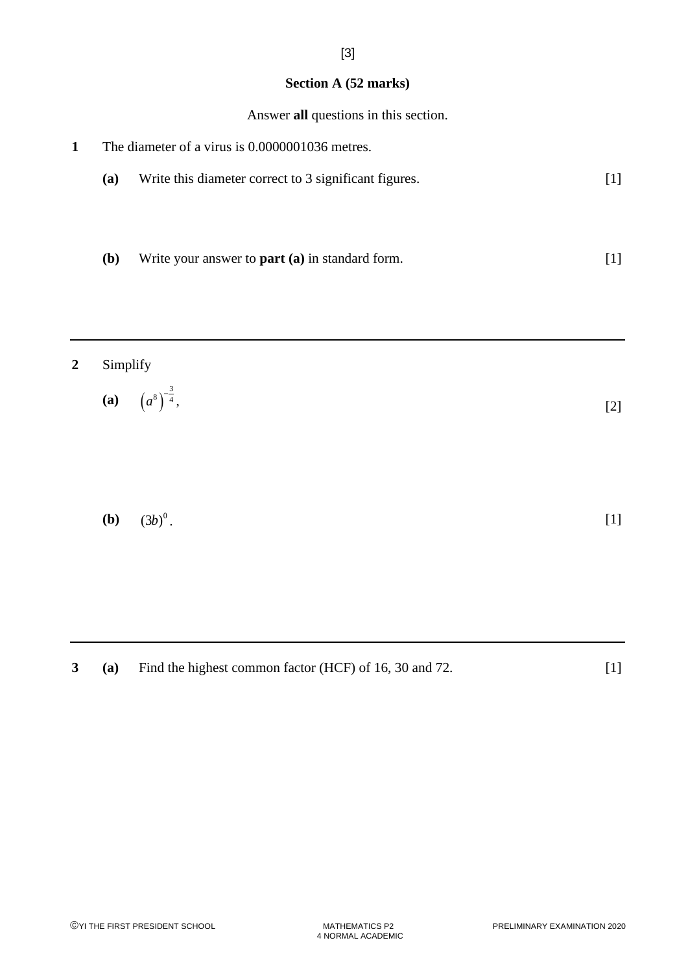#### **Section A (52 marks)**

[3]

Answer **all** questions in this section.

**1** The diameter of a virus is 0.0000001036 metres. **(a)** Write this diameter correct to 3 significant figures. [1] **(b)** Write your answer to **part (a)** in standard form. [1]

### **2** Simplify

(a) 
$$
\left(a^8\right)^{-\frac{3}{4}}
$$
, [2]

**(b)**  $(3b)^{0}$ .  $(3b)^{0}$ . [1]

**3 (a)** Find the highest common factor (HCF) of 16, 30 and 72. [1]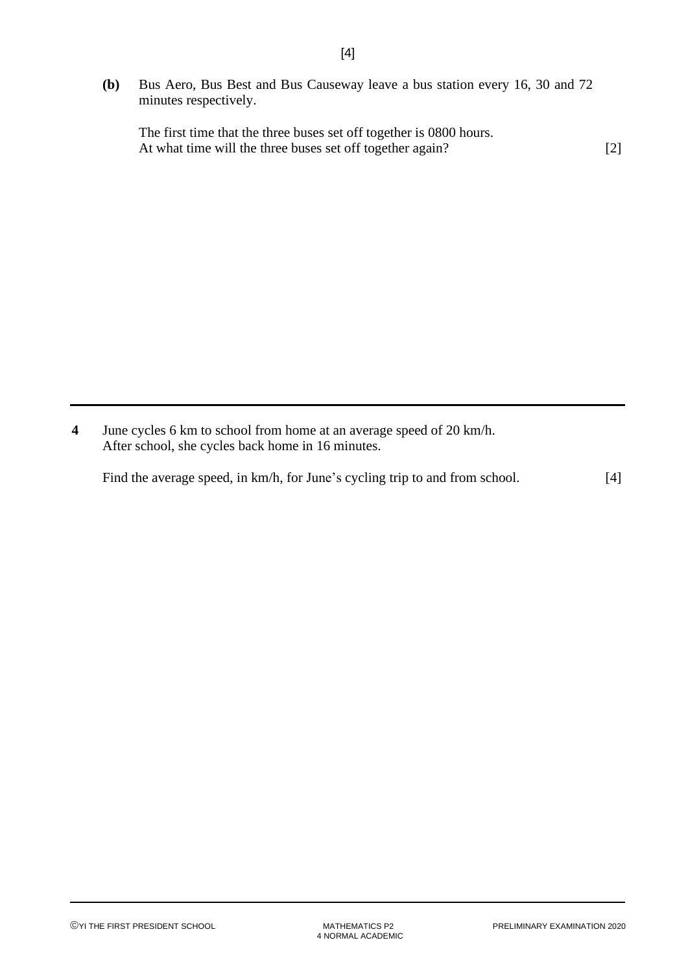**(b)** Bus Aero, Bus Best and Bus Causeway leave a bus station every 16, 30 and 72 minutes respectively.

The first time that the three buses set off together is 0800 hours. At what time will the three buses set off together again? [2]

**4** June cycles 6 km to school from home at an average speed of 20 km/h. After school, she cycles back home in 16 minutes.

| Find the average speed, in km/h, for June's cycling trip to and from school. | $[4]$ |
|------------------------------------------------------------------------------|-------|
|                                                                              |       |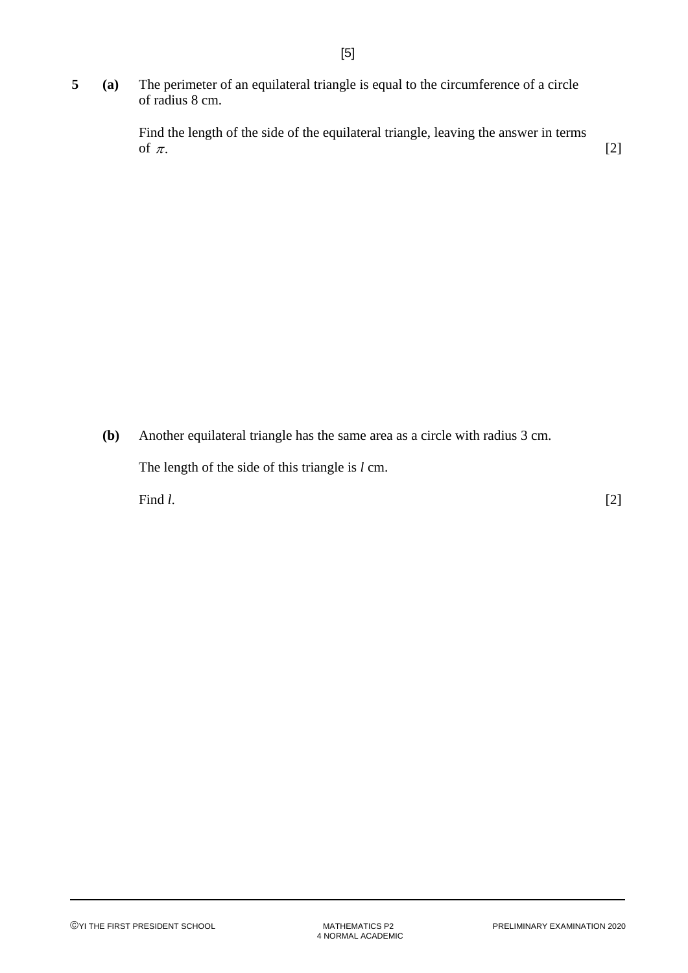**5 (a)** The perimeter of an equilateral triangle is equal to the circumference of a circle of radius 8 cm.

> Find the length of the side of the equilateral triangle, leaving the answer in terms of  $\pi$ . [2]

**(b)** Another equilateral triangle has the same area as a circle with radius 3 cm.

The length of the side of this triangle is *l* cm.

Find *l*. [2]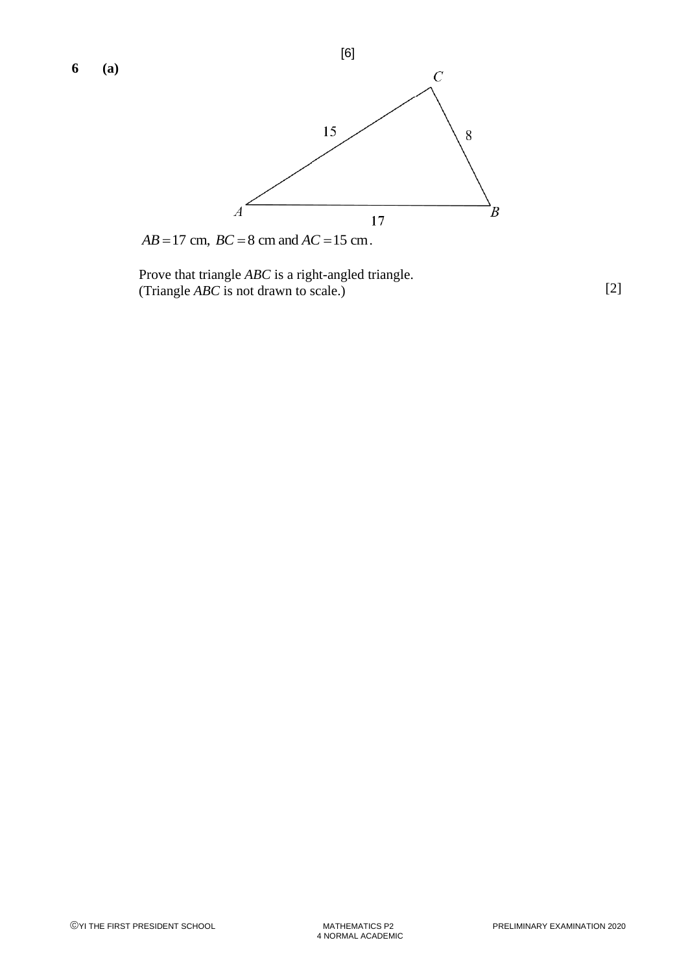

Prove that triangle *ABC* is a right-angled triangle. (Triangle *ABC* is not drawn to scale.) [2]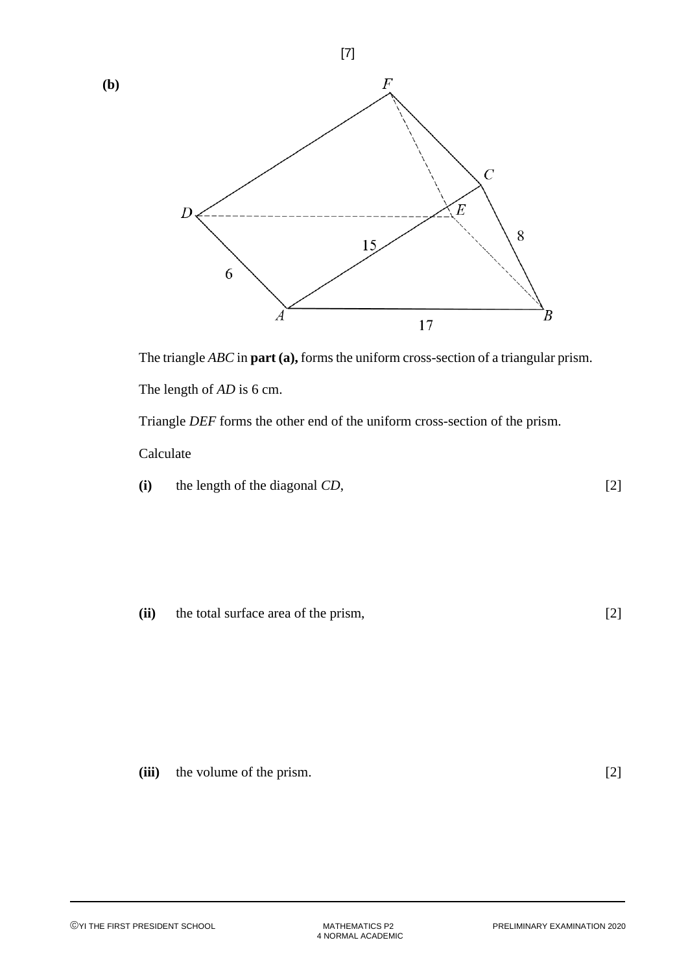



The length of *AD* is 6 cm.

Triangle *DEF* forms the other end of the uniform cross-section of the prism.

Calculate

| (i) | the length of the diagonal CD, |  |
|-----|--------------------------------|--|
|-----|--------------------------------|--|

**(ii)** the total surface area of the prism, [2]

| (iii) | the volume of the prism. |  |  |
|-------|--------------------------|--|--|
|-------|--------------------------|--|--|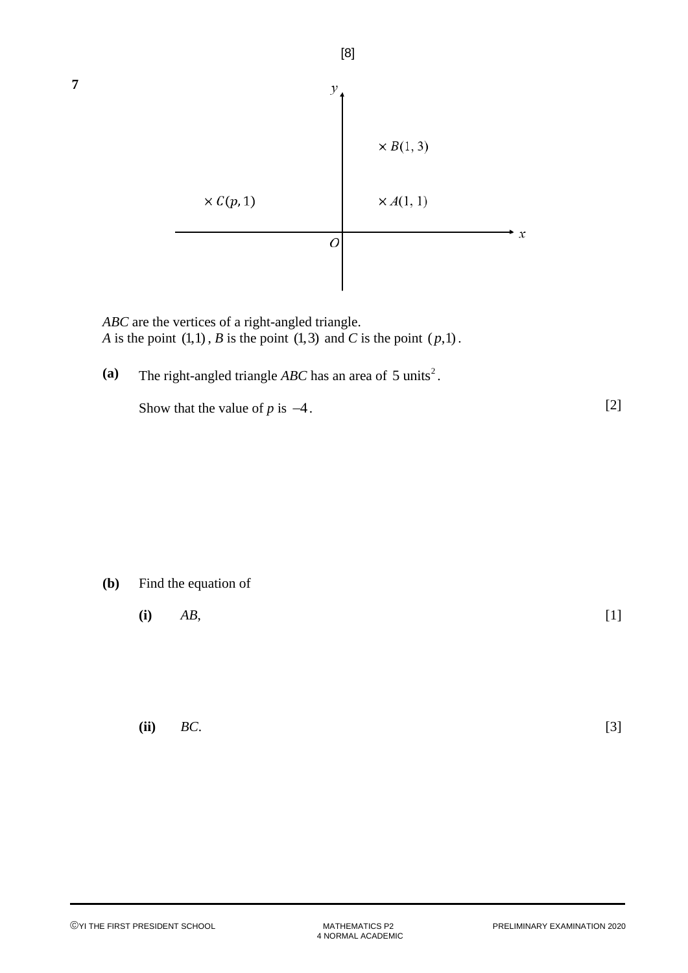

*ABC* are the vertices of a right-angled triangle. *A* is the point  $(1,1)$ , *B* is the point  $(1,3)$  and *C* is the point  $(p,1)$ .

(a) The right-angled triangle *ABC* has an area of  $5 \text{ units}^2$ .

Show that the value of  $p$  is  $-4$ .

**(b)** Find the equation of

**(i)** *AB*, [1]

**(ii)** *BC*. [3]

[2]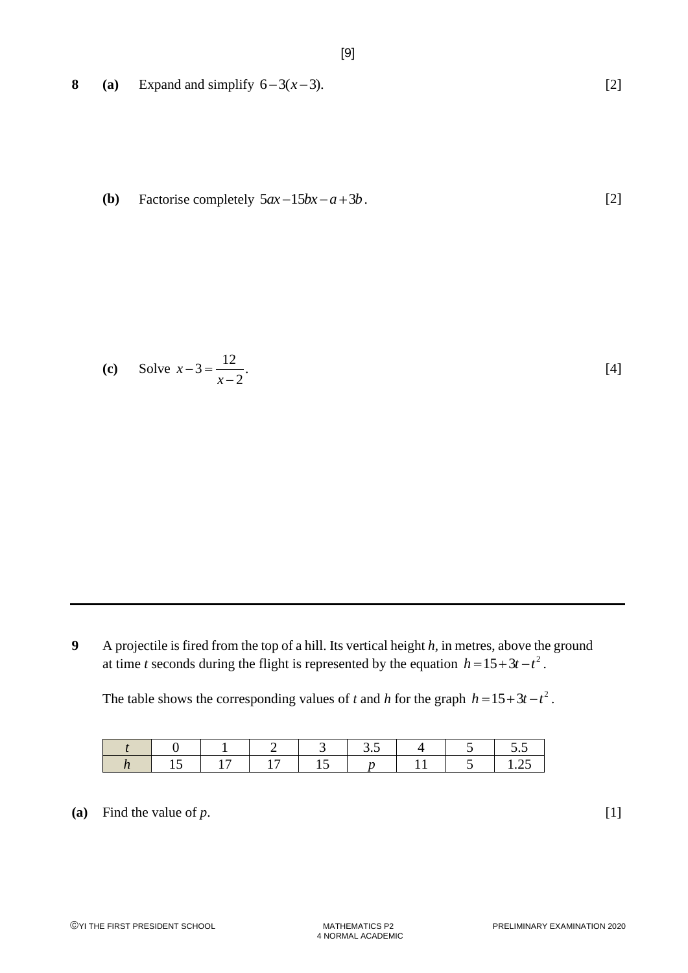**8 (a)** Expand and simplify  $6-3(x-3)$ .

**(b)** Factorise completely  $5ax - 15bx - a + 3b$ . [2]

(c) Solve 
$$
x-3=\frac{12}{x-2}
$$
. [4]

**9** A projectile is fired from the top of a hill. Its vertical height *h*, in metres, above the ground at time *t* seconds during the flight is represented by the equation  $h = 15 + 3t - t^2$ .

The table shows the corresponding values of *t* and *h* for the graph  $h = 15 + 3t - t^2$ .

|  |  | ن. د |  | ن.ر            |
|--|--|------|--|----------------|
|  |  |      |  | . . <u>.</u> . |

(a) Find the value of  $p$ .  $[1]$ 

[2]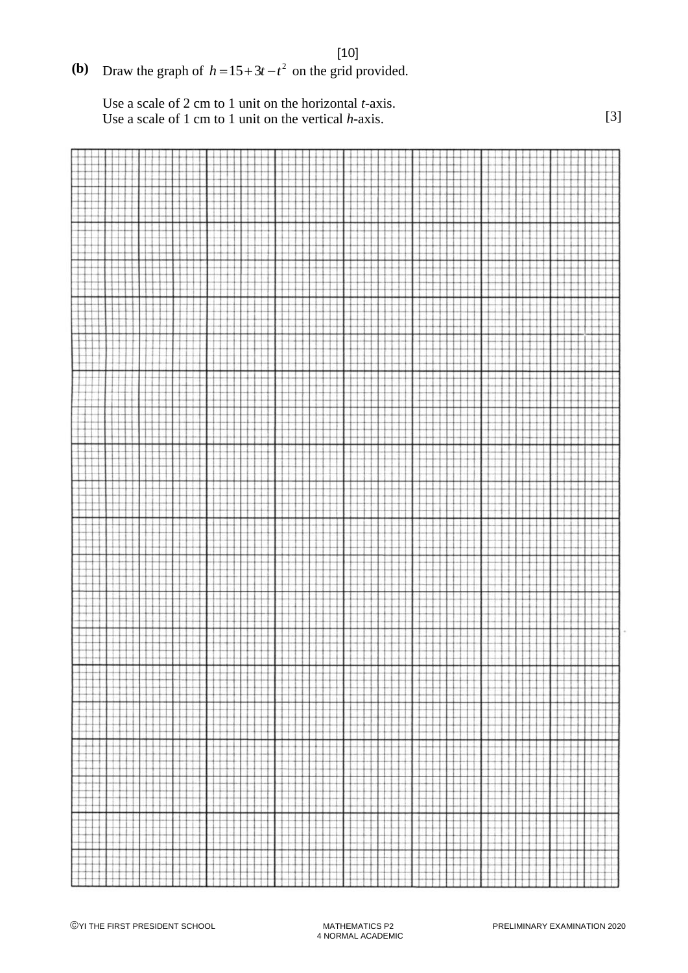## **(b)** Draw the graph of  $h = 15 + 3t - t^2$  on the grid provided.

Use a scale of 2 cm to 1 unit on the horizontal *t*-axis. Use a scale of 1 cm to 1 unit on the vertical *h*-axis. [3]

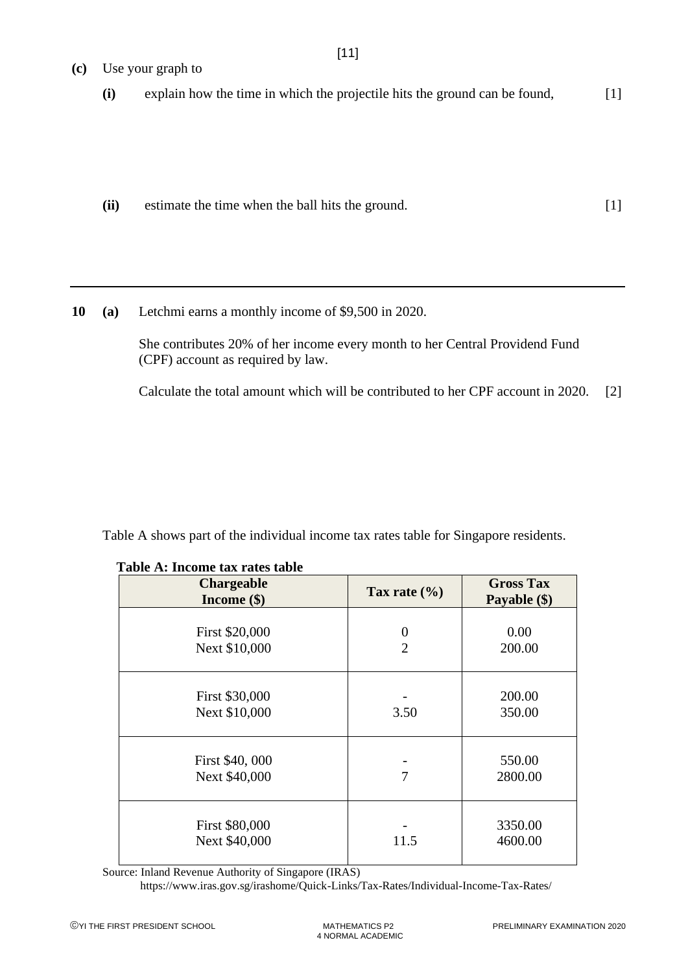- **(c)** Use your graph to **(i)** explain how the time in which the projectile hits the ground can be found, [1]
	- **(ii)** estimate the time when the ball hits the ground. [1]

**10 (a)** Letchmi earns a monthly income of \$9,500 in 2020.

She contributes 20% of her income every month to her Central Providend Fund (CPF) account as required by law.

Calculate the total amount which will be contributed to her CPF account in 2020. [2]

Table A shows part of the individual income tax rates table for Singapore residents.

| <b>Chargeable</b><br>Income $(\$)$ | Tax rate $(\% )$                 | <b>Gross Tax</b><br>Payable (\$) |
|------------------------------------|----------------------------------|----------------------------------|
| First \$20,000<br>Next \$10,000    | $\overline{0}$<br>$\overline{2}$ | 0.00<br>200.00                   |
| First \$30,000<br>Next \$10,000    | 3.50                             | 200.00<br>350.00                 |
| First \$40,000<br>Next \$40,000    | 7                                | 550.00<br>2800.00                |
| First \$80,000<br>Next \$40,000    | 11.5                             | 3350.00<br>4600.00               |

**Table A: Income tax rates table** 

Source: Inland Revenue Authority of Singapore (IRAS)

<https://www.iras.gov.sg/irashome/Quick-Links/Tax-Rates/Individual-Income-Tax-Rates/>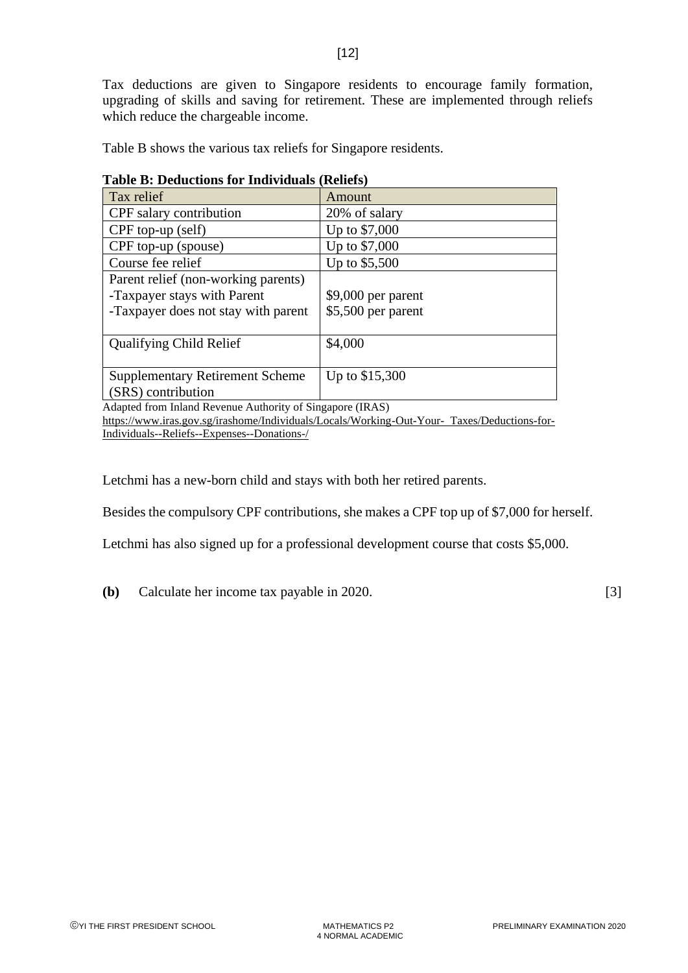Tax deductions are given to Singapore residents to encourage family formation, upgrading of skills and saving for retirement. These are implemented through reliefs which reduce the chargeable income.

| Table B shows the various tax reliefs for Singapore residents. |  |
|----------------------------------------------------------------|--|
|----------------------------------------------------------------|--|

| Table D. Deductions for Thurviquals (Reflets)                                                                                                                                                                                                                                                                                                                            |                                           |  |  |  |
|--------------------------------------------------------------------------------------------------------------------------------------------------------------------------------------------------------------------------------------------------------------------------------------------------------------------------------------------------------------------------|-------------------------------------------|--|--|--|
| Tax relief                                                                                                                                                                                                                                                                                                                                                               | Amount                                    |  |  |  |
| CPF salary contribution                                                                                                                                                                                                                                                                                                                                                  | 20% of salary                             |  |  |  |
| CPF top-up (self)                                                                                                                                                                                                                                                                                                                                                        | Up to \$7,000                             |  |  |  |
| CPF top-up (spouse)                                                                                                                                                                                                                                                                                                                                                      | Up to \$7,000                             |  |  |  |
| Course fee relief                                                                                                                                                                                                                                                                                                                                                        | Up to \$5,500                             |  |  |  |
| Parent relief (non-working parents)<br>-Taxpayer stays with Parent<br>-Taxpayer does not stay with parent                                                                                                                                                                                                                                                                | $$9,000$ per parent<br>\$5,500 per parent |  |  |  |
| <b>Qualifying Child Relief</b>                                                                                                                                                                                                                                                                                                                                           | \$4,000                                   |  |  |  |
| <b>Supplementary Retirement Scheme</b><br>(SRS) contribution                                                                                                                                                                                                                                                                                                             | Up to \$15,300                            |  |  |  |
| $\lambda$ 1. $\lambda$ 1. $\lambda$ 0. $\lambda$ 1. $\lambda$ 1. $\lambda$ 1. $\lambda$ 1. $\lambda$ 1. $\lambda$ 1. $\lambda$ 1. $\lambda$ 1. $\lambda$ 1. $\lambda$ 1. $\lambda$ 1. $\lambda$ 1. $\lambda$ 1. $\lambda$ 1. $\lambda$ 1. $\lambda$ 1. $\lambda$ 1. $\lambda$ 1. $\lambda$ 1. $\lambda$ 1. $\lambda$ 1. $\lambda$ 1. $\lambda$ 1. $\lambda$ 1. $\lambda$ |                                           |  |  |  |

| <b>Table B: Deductions for Individuals (Reliefs)</b> |  |  |  |
|------------------------------------------------------|--|--|--|
|------------------------------------------------------|--|--|--|

Adapted from Inland Revenue Authority of Singapore (IRAS)

[https://www.iras.gov.sg/irashome/Individuals/Locals/Working-Out-Your- Taxes/Deductions-for-](https://www.iras.gov.sg/irashome/Individuals/Locals/Working-Out-Your-Taxes/Deductions-for-Individuals--Reliefs--Expenses--Donations-/)[Individuals--Reliefs--Expenses--Donations-/](https://www.iras.gov.sg/irashome/Individuals/Locals/Working-Out-Your-Taxes/Deductions-for-Individuals--Reliefs--Expenses--Donations-/)

Letchmi has a new-born child and stays with both her retired parents.

Besides the compulsory CPF contributions, she makes a CPF top up of \$7,000 for herself.

Letchmi has also signed up for a professional development course that costs \$5,000.

**(b)** Calculate her income tax payable in 2020. [3]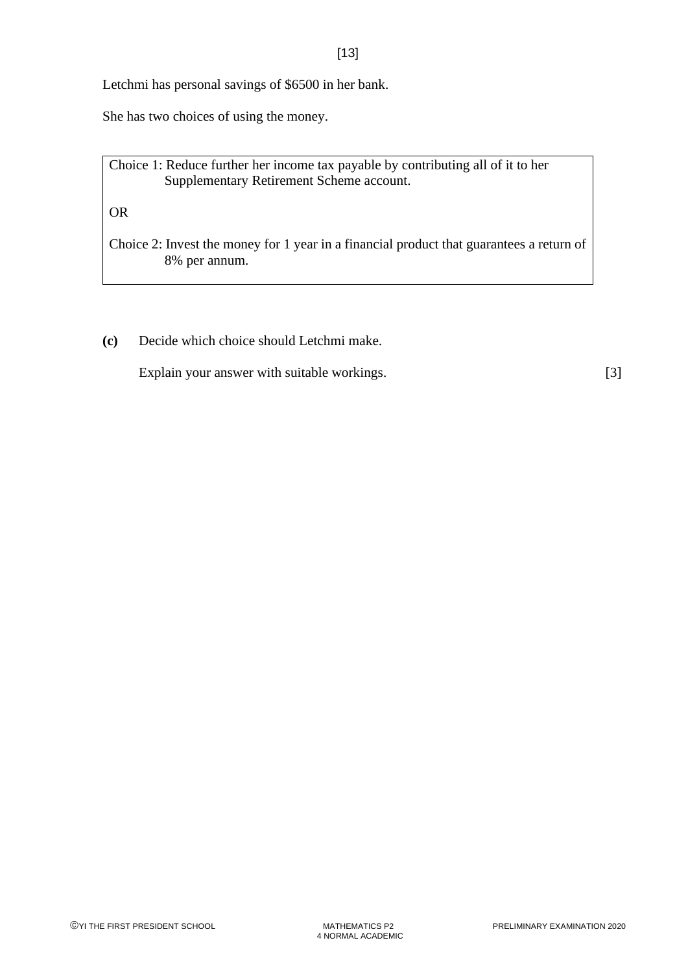Letchmi has personal savings of \$6500 in her bank.

She has two choices of using the money.

Choice 1: Reduce further her income tax payable by contributing all of it to her Supplementary Retirement Scheme account.

OR

Choice 2: Invest the money for 1 year in a financial product that guarantees a return of 8% per annum.

**(c)** Decide which choice should Letchmi make.

Explain your answer with suitable workings. [3]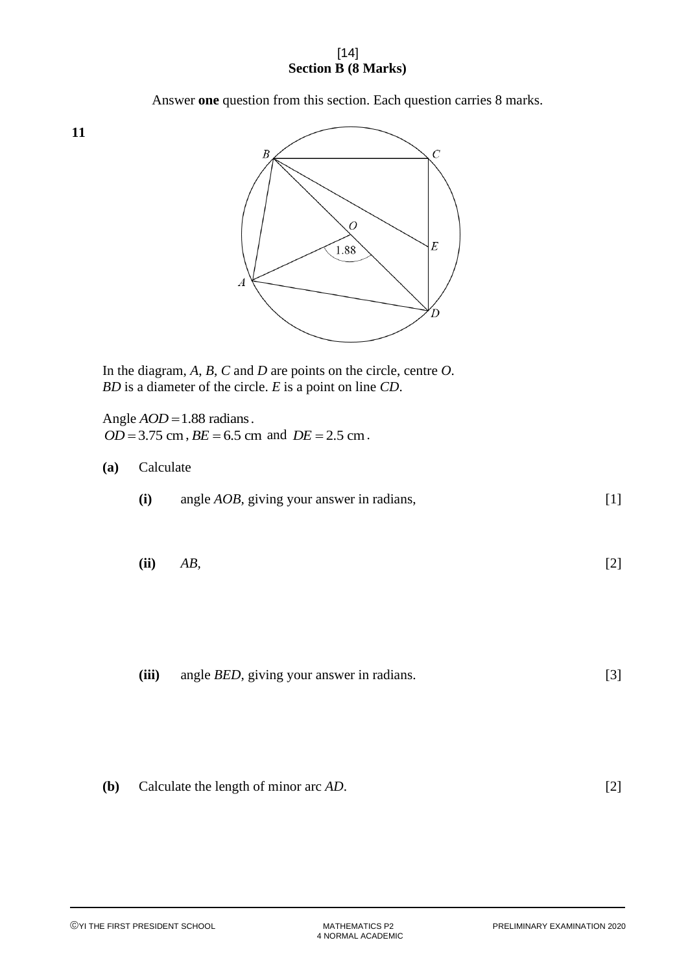#### [14] **Section B (8 Marks)**

Answer **one** question from this section. Each question carries 8 marks.



In the diagram, *A*, *B*, *C* and *D* are points on the circle, centre *O*. *BD* is a diameter of the circle. *E* is a point on line *CD*.

Angle *AOD* =1.88 radians.  $OD = 3.75$  cm,  $BE = 6.5$  cm and  $DE = 2.5$  cm.

#### **(a)** Calculate

- **(i)** angle *AOB,* giving your answer in radians, [1]
- **(ii)** *AB,* [2]

**(iii)** angle *BED,* giving your answer in radians. [3]

**(b)** Calculate the length of minor arc 
$$
AD
$$
. [2]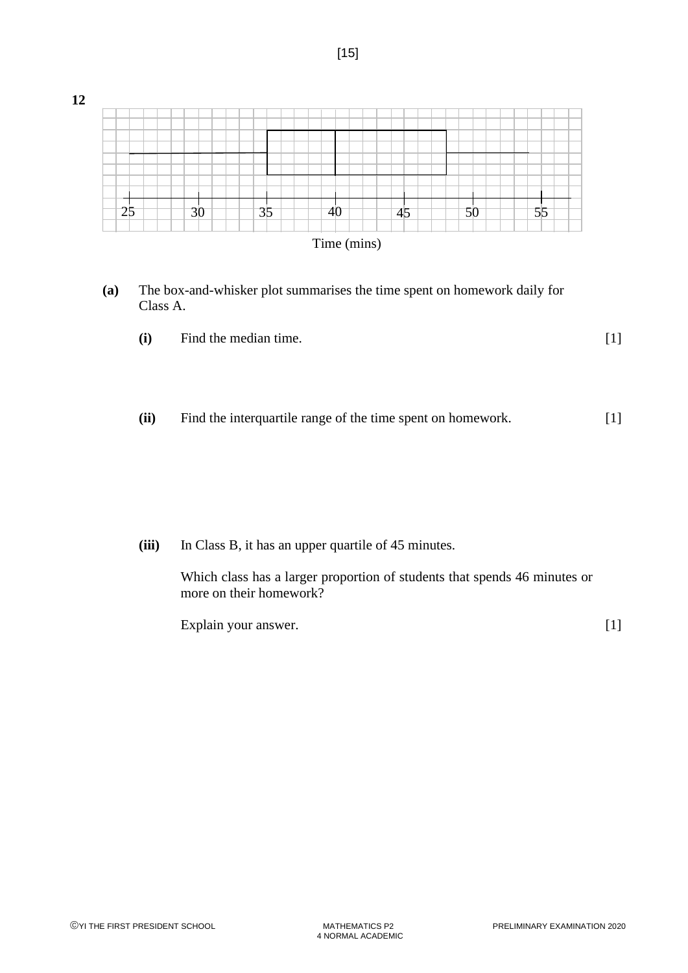

**(a)** The box-and-whisker plot summarises the time spent on homework daily for Class A.

| (i) | Find the median time. |  |
|-----|-----------------------|--|
|     |                       |  |

**(ii)** Find the interquartile range of the time spent on homework. [1]

**(iii)** In Class B, it has an upper quartile of 45 minutes.

Which class has a larger proportion of students that spends 46 minutes or more on their homework?

Explain your answer. [1]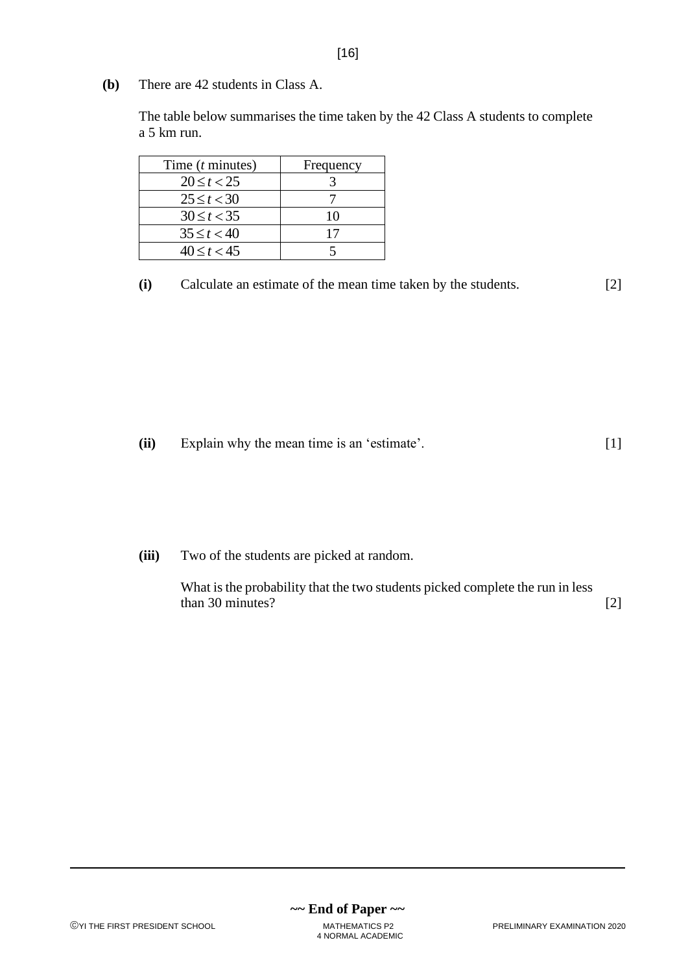**(b)** There are 42 students in Class A.

The table below summarises the time taken by the 42 Class A students to complete a 5 km run.

| Time $(t \text{ minutes})$ | Frequency |
|----------------------------|-----------|
| $20 \le t < 25$            |           |
| $25 \le t < 30$            |           |
| $30 \le t < 35$            | 10        |
| $35 \le t < 40$            | 17        |
| $40 \le t < 45$            |           |

**(i)** Calculate an estimate of the mean time taken by the students. [2]

**(ii)** Explain why the mean time is an 'estimate'. [1]

**(iii)** Two of the students are picked at random.

What is the probability that the two students picked complete the run in less  $\frac{1}{2}$  than 30 minutes? [2]